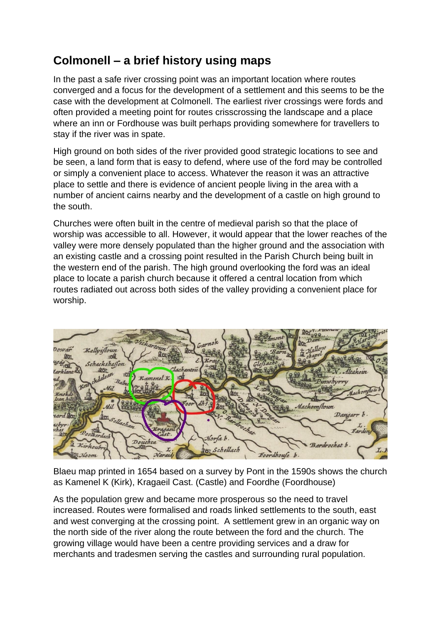## **Colmonell – a brief history using maps**

In the past a safe river crossing point was an important location where routes converged and a focus for the development of a settlement and this seems to be the case with the development at Colmonell. The earliest river crossings were fords and often provided a meeting point for routes crisscrossing the landscape and a place where an inn or Fordhouse was built perhaps providing somewhere for travellers to stay if the river was in spate.

High ground on both sides of the river provided good strategic locations to see and be seen, a land form that is easy to defend, where use of the ford may be controlled or simply a convenient place to access. Whatever the reason it was an attractive place to settle and there is evidence of ancient people living in the area with a number of ancient cairns nearby and the development of a castle on high ground to the south.

Churches were often built in the centre of medieval parish so that the place of worship was accessible to all. However, it would appear that the lower reaches of the valley were more densely populated than the higher ground and the association with an existing castle and a crossing point resulted in the Parish Church being built in the western end of the parish. The high ground overlooking the ford was an ideal place to locate a parish church because it offered a central location from which routes radiated out across both sides of the valley providing a convenient place for worship.



Blaeu map printed in 1654 based on a survey by Pont in the 1590s shows the church as Kamenel K (Kirk), Kragaeil Cast. (Castle) and Foordhe (Foordhouse)

As the population grew and became more prosperous so the need to travel increased. Routes were formalised and roads linked settlements to the south, east and west converging at the crossing point. A settlement grew in an organic way on the north side of the river along the route between the ford and the church. The growing village would have been a centre providing services and a draw for merchants and tradesmen serving the castles and surrounding rural population.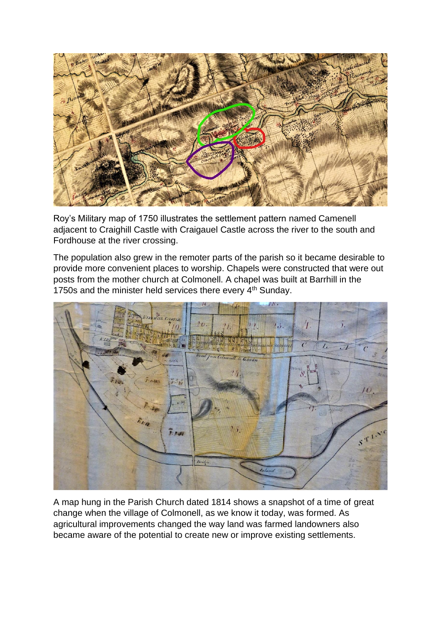

Roy's Military map of 1750 illustrates the settlement pattern named Camenell adjacent to Craighill Castle with Craigauel Castle across the river to the south and Fordhouse at the river crossing.

The population also grew in the remoter parts of the parish so it became desirable to provide more convenient places to worship. Chapels were constructed that were out posts from the mother church at Colmonell. A chapel was built at Barrhill in the 1750s and the minister held services there every 4<sup>th</sup> Sunday.



A map hung in the Parish Church dated 1814 shows a snapshot of a time of great change when the village of Colmonell, as we know it today, was formed. As agricultural improvements changed the way land was farmed landowners also became aware of the potential to create new or improve existing settlements.